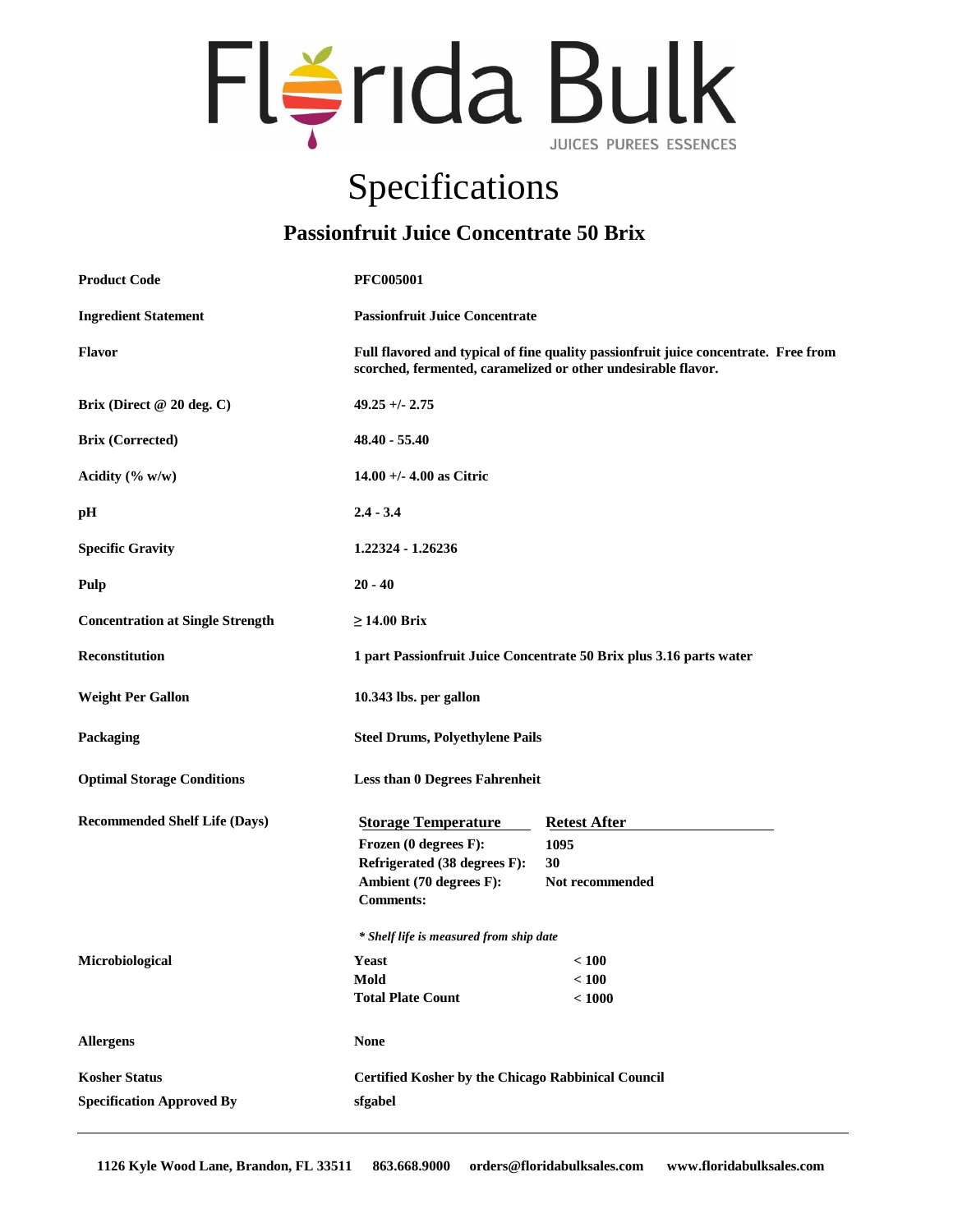

## Specifications

## **Passionfruit Juice Concentrate 50 Brix**

| <b>Product Code</b>                     | <b>PFC005001</b>                                                                                                                                     |                                                           |  |
|-----------------------------------------|------------------------------------------------------------------------------------------------------------------------------------------------------|-----------------------------------------------------------|--|
| <b>Ingredient Statement</b>             | <b>Passionfruit Juice Concentrate</b>                                                                                                                |                                                           |  |
| <b>Flavor</b>                           | Full flavored and typical of fine quality passionfruit juice concentrate. Free from<br>scorched, fermented, caramelized or other undesirable flavor. |                                                           |  |
| Brix (Direct @ 20 deg. C)               | $49.25 + - 2.75$                                                                                                                                     |                                                           |  |
| <b>Brix (Corrected)</b>                 | $48.40 - 55.40$                                                                                                                                      |                                                           |  |
| Acidity $(\% w/w)$                      | 14.00 +/- 4.00 as Citric                                                                                                                             |                                                           |  |
| pH                                      | $2.4 - 3.4$                                                                                                                                          |                                                           |  |
| <b>Specific Gravity</b>                 | 1.22324 - 1.26236                                                                                                                                    |                                                           |  |
| Pulp                                    | $20 - 40$                                                                                                                                            |                                                           |  |
| <b>Concentration at Single Strength</b> | $\geq$ 14.00 Brix                                                                                                                                    |                                                           |  |
| Reconstitution                          | 1 part Passionfruit Juice Concentrate 50 Brix plus 3.16 parts water                                                                                  |                                                           |  |
| <b>Weight Per Gallon</b>                | 10.343 lbs. per gallon                                                                                                                               |                                                           |  |
| Packaging                               | <b>Steel Drums, Polyethylene Pails</b>                                                                                                               |                                                           |  |
| <b>Optimal Storage Conditions</b>       | <b>Less than 0 Degrees Fahrenheit</b>                                                                                                                |                                                           |  |
| <b>Recommended Shelf Life (Days)</b>    | <b>Storage Temperature</b>                                                                                                                           | <b>Retest After</b>                                       |  |
|                                         | Frozen (0 degrees F):                                                                                                                                | 1095                                                      |  |
|                                         | Refrigerated (38 degrees F):                                                                                                                         | 30                                                        |  |
|                                         | Ambient (70 degrees F):<br><b>Comments:</b>                                                                                                          | Not recommended                                           |  |
|                                         | * Shelf life is measured from ship date                                                                                                              |                                                           |  |
| Microbiological                         | <b>Yeast</b>                                                                                                                                         | < 100                                                     |  |
|                                         | Mold                                                                                                                                                 | < 100                                                     |  |
|                                         | <b>Total Plate Count</b>                                                                                                                             | < 1000                                                    |  |
| <b>Allergens</b>                        | <b>None</b>                                                                                                                                          |                                                           |  |
| <b>Kosher Status</b>                    |                                                                                                                                                      | <b>Certified Kosher by the Chicago Rabbinical Council</b> |  |
| <b>Specification Approved By</b>        | sfgabel                                                                                                                                              |                                                           |  |